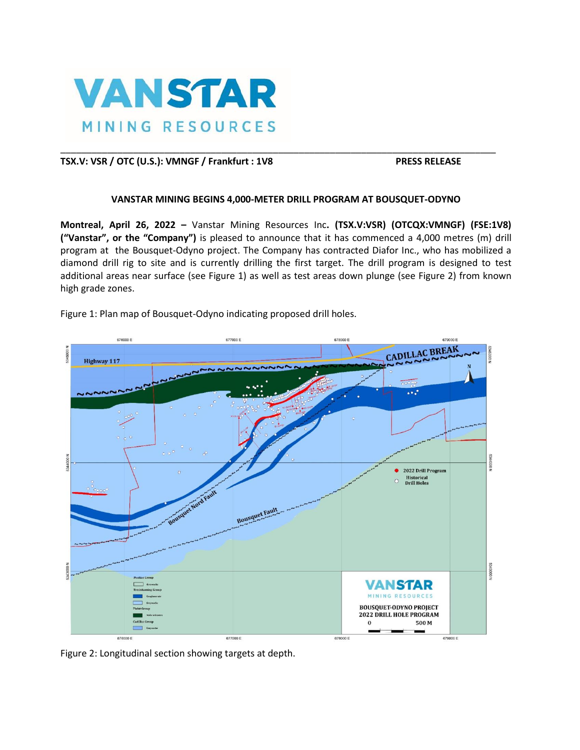

# **TSX.V: VSR / OTC (U.S.): VMNGF / Frankfurt : 1V8 PRESS RELEASE**

## **VANSTAR MINING BEGINS 4,000-METER DRILL PROGRAM AT BOUSQUET-ODYNO**

\_\_\_\_\_\_\_\_\_\_\_\_\_\_\_\_\_\_\_\_\_\_\_\_\_\_\_\_\_\_\_\_\_\_\_\_\_\_\_\_\_\_\_\_\_\_\_\_\_\_\_\_\_\_\_\_\_\_\_\_\_\_\_\_\_\_\_\_\_\_\_\_\_\_\_\_\_\_\_\_\_\_\_\_

**Montreal, April 26, 2022 –** Vanstar Mining Resources Inc**. (TSX.V:VSR) (OTCQX:VMNGF) (FSE:1V8) ("Vanstar", or the "Company")** is pleased to announce that it has commenced a 4,000 metres (m) drill program at the Bousquet-Odyno project. The Company has contracted Diafor Inc., who has mobilized a diamond drill rig to site and is currently drilling the first target. The drill program is designed to test additional areas near surface (see Figure 1) as well as test areas down plunge (see Figure 2) from known high grade zones.



Figure 1: Plan map of Bousquet-Odyno indicating proposed drill holes.

Figure 2: Longitudinal section showing targets at depth.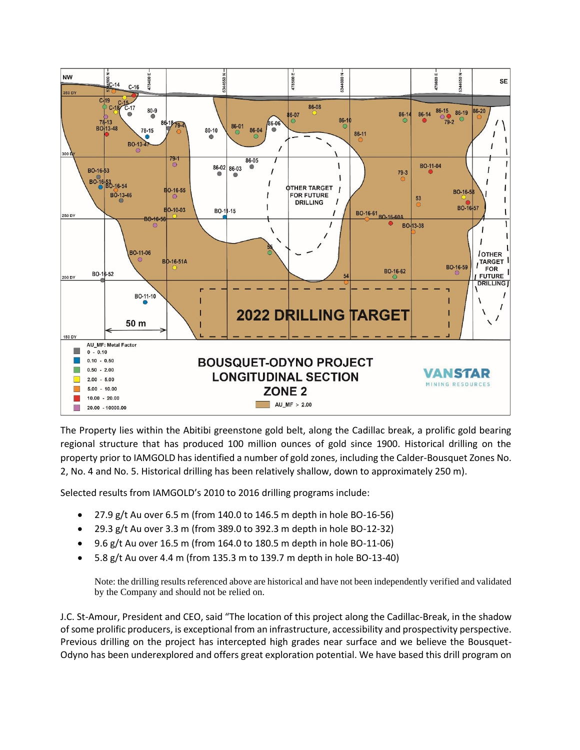

The Property lies within the Abitibi greenstone gold belt, along the Cadillac break, a prolific gold bearing regional structure that has produced 100 million ounces of gold since 1900. Historical drilling on the property prior to IAMGOLD has identified a number of gold zones, including the Calder-Bousquet Zones No. 2, No. 4 and No. 5. Historical drilling has been relatively shallow, down to approximately 250 m).

Selected results from IAMGOLD's 2010 to 2016 drilling programs include:

- 27.9 g/t Au over 6.5 m (from 140.0 to 146.5 m depth in hole BO-16-56)
- 29.3 g/t Au over 3.3 m (from 389.0 to 392.3 m depth in hole BO-12-32)
- 9.6 g/t Au over 16.5 m (from 164.0 to 180.5 m depth in hole BO-11-06)
- 5.8 g/t Au over 4.4 m (from 135.3 m to 139.7 m depth in hole BO-13-40)

Note: the drilling results referenced above are historical and have not been independently verified and validated by the Company and should not be relied on.

J.C. St-Amour, President and CEO, said "The location of this project along the Cadillac-Break, in the shadow of some prolific producers, is exceptional from an infrastructure, accessibility and prospectivity perspective. Previous drilling on the project has intercepted high grades near surface and we believe the Bousquet-Odyno has been underexplored and offers great exploration potential. We have based this drill program on